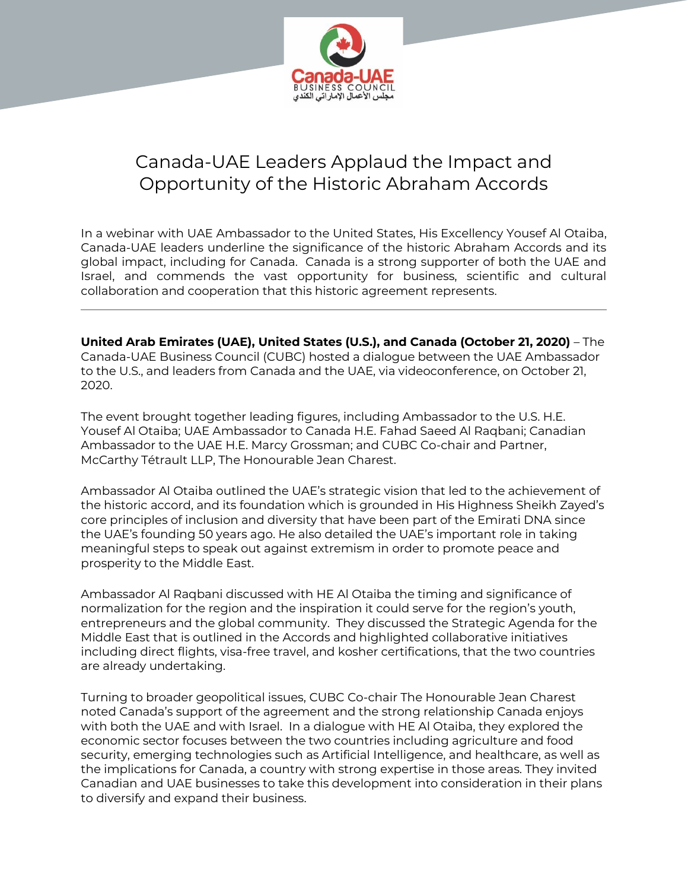

## Canada-UAE Leaders Applaud the Impact and Opportunity of the Historic Abraham Accords

In a webinar with UAE Ambassador to the United States, His Excellency Yousef Al Otaiba, Canada-UAE leaders underline the significance of the historic Abraham Accords and its global impact, including for Canada. Canada is a strong supporter of both the UAE and Israel, and commends the vast opportunity for business, scientific and cultural collaboration and cooperation that this historic agreement represents.

**United Arab Emirates (UAE), United States (U.S.), and Canada (October 21, 2020)** – The Canada-UAE Business Council (CUBC) hosted a dialogue between the UAE Ambassador to the U.S., and leaders from Canada and the UAE, via videoconference, on October 21, 2020.

The event brought together leading figures, including Ambassador to the U.S. H.E. Yousef Al Otaiba; UAE Ambassador to Canada H.E. Fahad Saeed Al Raqbani; Canadian Ambassador to the UAE H.E. Marcy Grossman; and CUBC Co-chair and Partner, McCarthy Tétrault LLP, The Honourable Jean Charest.

Ambassador Al Otaiba outlined the UAE's strategic vision that led to the achievement of the historic accord, and its foundation which is grounded in His Highness Sheikh Zayed's core principles of inclusion and diversity that have been part of the Emirati DNA since the UAE's founding 50 years ago. He also detailed the UAE's important role in taking meaningful steps to speak out against extremism in order to promote peace and prosperity to the Middle East.

Ambassador Al Raqbani discussed with HE Al Otaiba the timing and significance of normalization for the region and the inspiration it could serve for the region's youth, entrepreneurs and the global community. They discussed the Strategic Agenda for the Middle East that is outlined in the Accords and highlighted collaborative initiatives including direct flights, visa-free travel, and kosher certifications, that the two countries are already undertaking.

Turning to broader geopolitical issues, CUBC Co-chair The Honourable Jean Charest noted Canada's support of the agreement and the strong relationship Canada enjoys with both the UAE and with Israel. In a dialogue with HE Al Otaiba, they explored the economic sector focuses between the two countries including agriculture and food security, emerging technologies such as Artificial Intelligence, and healthcare, as well as the implications for Canada, a country with strong expertise in those areas. They invited Canadian and UAE businesses to take this development into consideration in their plans to diversify and expand their business.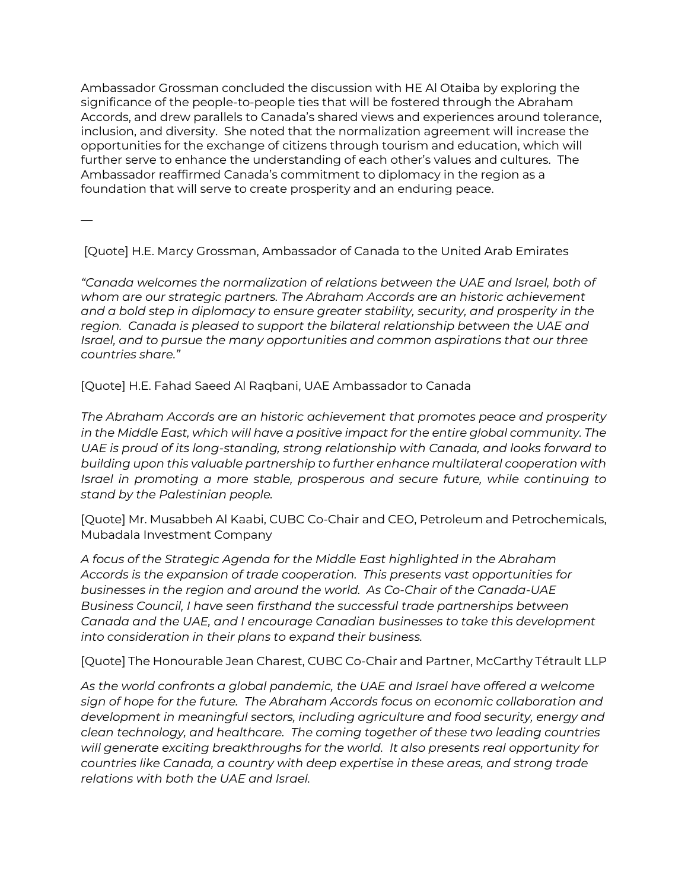Ambassador Grossman concluded the discussion with HE Al Otaiba by exploring the significance of the people-to-people ties that will be fostered through the Abraham Accords, and drew parallels to Canada's shared views and experiences around tolerance, inclusion, and diversity. She noted that the normalization agreement will increase the opportunities for the exchange of citizens through tourism and education, which will further serve to enhance the understanding of each other's values and cultures. The Ambassador reaffirmed Canada's commitment to diplomacy in the region as a foundation that will serve to create prosperity and an enduring peace.

—

[Quote] H.E. Marcy Grossman, Ambassador of Canada to the United Arab Emirates

*"Canada welcomes the normalization of relations between the UAE and Israel, both of whom are our strategic partners. The Abraham Accords are an historic achievement and a bold step in diplomacy to ensure greater stability, security, and prosperity in the region. Canada is pleased to support the bilateral relationship between the UAE and Israel, and to pursue the many opportunities and common aspirations that our three countries share."*

[Quote] H.E. Fahad Saeed Al Raqbani, UAE Ambassador to Canada

*The Abraham Accords are an historic achievement that promotes peace and prosperity in the Middle East, which will have a positive impact for the entire global community. The UAE is proud of its long-standing, strong relationship with Canada, and looks forward to building upon this valuable partnership to further enhance multilateral cooperation with Israel in promoting a more stable, prosperous and secure future, while continuing to stand by the Palestinian people.*

[Quote] Mr. Musabbeh Al Kaabi, CUBC Co-Chair and CEO, Petroleum and Petrochemicals, Mubadala Investment Company

*A focus of the Strategic Agenda for the Middle East highlighted in the Abraham Accords is the expansion of trade cooperation. This presents vast opportunities for businesses in the region and around the world. As Co-Chair of the Canada-UAE Business Council, I have seen firsthand the successful trade partnerships between Canada and the UAE, and I encourage Canadian businesses to take this development into consideration in their plans to expand their business.*

[Quote] The Honourable Jean Charest, CUBC Co-Chair and Partner, McCarthy Tétrault LLP

*As the world confronts a global pandemic, the UAE and Israel have offered a welcome sign of hope for the future. The Abraham Accords focus on economic collaboration and development in meaningful sectors, including agriculture and food security, energy and clean technology, and healthcare. The coming together of these two leading countries will generate exciting breakthroughs for the world. It also presents real opportunity for countries like Canada, a country with deep expertise in these areas, and strong trade relations with both the UAE and Israel.*